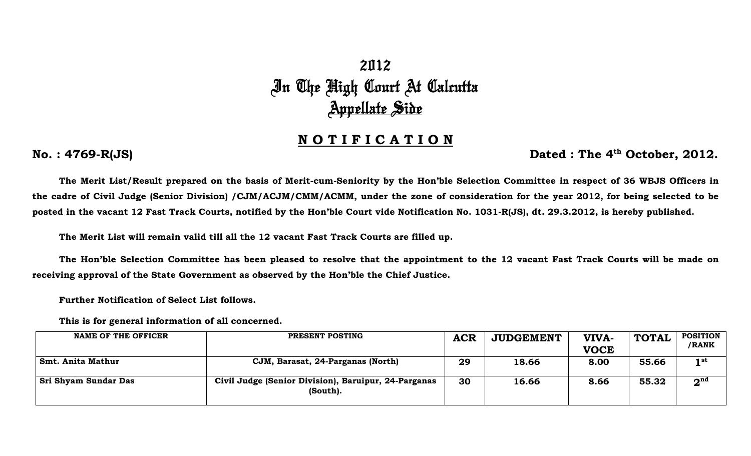## 2012 In The High Court At Calcutta <u>Appellate Side</u>

## **N O T I F I C A T I O N**

## **No. : 4769-R(JS) Dated : The 4<sup>th</sup> October, 2012.**

**The Merit List/Result prepared on the basis of Merit-cum-Seniority by the Hon'ble Selection Committee in respect of 36 WBJS Officers in the cadre of Civil Judge (Senior Division) /CJM/ACJM/CMM/ACMM, under the zone of consideration for the year 2012, for being selected to be posted in the vacant 12 Fast Track Courts, notified by the Hon'ble Court vide Notification No. 1031-R(JS), dt. 29.3.2012, is hereby published.** 

 **The Merit List will remain valid till all the 12 vacant Fast Track Courts are filled up.** 

 **The Hon'ble Selection Committee has been pleased to resolve that the appointment to the 12 vacant Fast Track Courts will be made on receiving approval of the State Government as observed by the Hon'ble the Chief Justice.** 

 **Further Notification of Select List follows.** 

 **This is for general information of all concerned.** 

| <b>NAME OF THE OFFICER</b> | PRESENT POSTING                                                  | <b>ACR</b> | <b>JUDGEMENT</b> | VIVA-<br><b>VOCE</b> | <b>TOTAL</b> | <b>POSITION</b><br>/RANK          |
|----------------------------|------------------------------------------------------------------|------------|------------------|----------------------|--------------|-----------------------------------|
| <b>Smt. Anita Mathur</b>   | CJM, Barasat, 24-Parganas (North)                                | 29         | 18.66            | 8.00                 | 55.66        | 1 st                              |
| Sri Shyam Sundar Das       | Civil Judge (Senior Division), Baruipur, 24-Parganas<br>(South). | 30         | 16.66            | 8.66                 | 55.32        | $\boldsymbol{\cap}$ <sup>nd</sup> |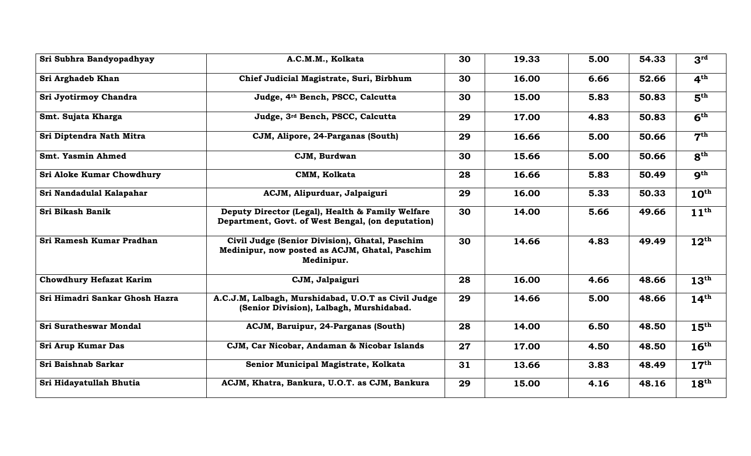| Sri Subhra Bandyopadhyay         | A.C.M.M., Kolkata                                                                                              | 30 | 19.33 | 5.00 | 54.33 | 3 <sup>rd</sup>          |
|----------------------------------|----------------------------------------------------------------------------------------------------------------|----|-------|------|-------|--------------------------|
| Sri Arghadeb Khan                | Chief Judicial Magistrate, Suri, Birbhum                                                                       | 30 | 16.00 | 6.66 | 52.66 | 4 <sup>th</sup>          |
| Sri Jyotirmoy Chandra            | Judge, 4th Bench, PSCC, Calcutta                                                                               | 30 | 15.00 | 5.83 | 50.83 | 5 <sup>th</sup>          |
| Smt. Sujata Kharga               | Judge, 3rd Bench, PSCC, Calcutta                                                                               | 29 | 17.00 | 4.83 | 50.83 | 6 <sup>th</sup>          |
| Sri Diptendra Nath Mitra         | CJM, Alipore, 24-Parganas (South)                                                                              | 29 | 16.66 | 5.00 | 50.66 | 7 <sup>th</sup>          |
| <b>Smt. Yasmin Ahmed</b>         | CJM, Burdwan                                                                                                   | 30 | 15.66 | 5.00 | 50.66 | 8 <sup>th</sup>          |
| <b>Sri Aloke Kumar Chowdhury</b> | CMM, Kolkata                                                                                                   | 28 | 16.66 | 5.83 | 50.49 | $\mathbf{Q}^{\text{th}}$ |
| Sri Nandadulal Kalapahar         | ACJM, Alipurduar, Jalpaiguri                                                                                   | 29 | 16.00 | 5.33 | 50.33 | $10^{\text{th}}$         |
| Sri Bikash Banik                 | Deputy Director (Legal), Health & Family Welfare<br>Department, Govt. of West Bengal, (on deputation)          | 30 | 14.00 | 5.66 | 49.66 | $11^{\text{th}}$         |
| Sri Ramesh Kumar Pradhan         | Civil Judge (Senior Division), Ghatal, Paschim<br>Medinipur, now posted as ACJM, Ghatal, Paschim<br>Medinipur. | 30 | 14.66 | 4.83 | 49.49 | $12^{\text{th}}$         |
| <b>Chowdhury Hefazat Karim</b>   | CJM, Jalpaiguri                                                                                                | 28 | 16.00 | 4.66 | 48.66 | 13 <sup>th</sup>         |
| Sri Himadri Sankar Ghosh Hazra   | A.C.J.M, Lalbagh, Murshidabad, U.O.T as Civil Judge<br>(Senior Division), Lalbagh, Murshidabad.                | 29 | 14.66 | 5.00 | 48.66 | $14^{\text{th}}$         |
| Sri Suratheswar Mondal           | ACJM, Baruipur, 24-Parganas (South)                                                                            | 28 | 14.00 | 6.50 | 48.50 | $15^{\text{th}}$         |
| <b>Sri Arup Kumar Das</b>        | CJM, Car Nicobar, Andaman & Nicobar Islands                                                                    | 27 | 17.00 | 4.50 | 48.50 | 16 <sup>th</sup>         |
| Sri Baishnab Sarkar              | Senior Municipal Magistrate, Kolkata                                                                           | 31 | 13.66 | 3.83 | 48.49 | 17 <sup>th</sup>         |
| Sri Hidayatullah Bhutia          | ACJM, Khatra, Bankura, U.O.T. as CJM, Bankura                                                                  | 29 | 15.00 | 4.16 | 48.16 | $18^{\text{th}}$         |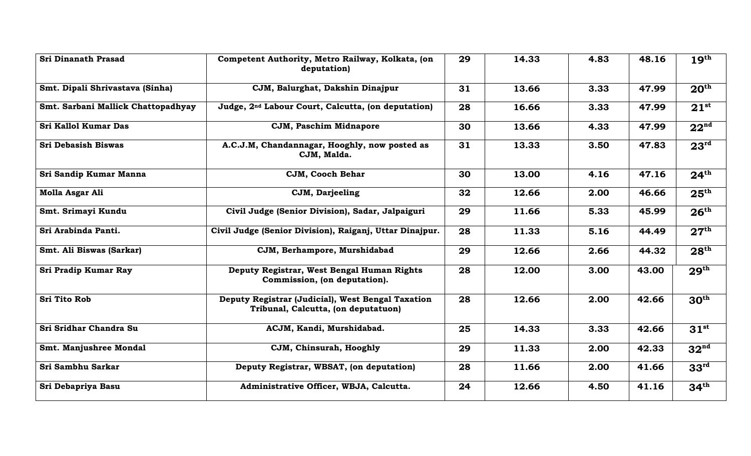| <b>Sri Dinanath Prasad</b>         | Competent Authority, Metro Railway, Kolkata, (on<br>deputation)                          | 29 | 14.33 | 4.83 | 48.16 | 19 <sup>th</sup> |
|------------------------------------|------------------------------------------------------------------------------------------|----|-------|------|-------|------------------|
| Smt. Dipali Shrivastava (Sinha)    | CJM, Balurghat, Dakshin Dinajpur                                                         | 31 | 13.66 | 3.33 | 47.99 | 20 <sup>th</sup> |
| Smt. Sarbani Mallick Chattopadhyay | Judge, 2 <sup>nd</sup> Labour Court, Calcutta, (on deputation)                           | 28 | 16.66 | 3.33 | 47.99 | $21^{st}$        |
| <b>Sri Kallol Kumar Das</b>        | <b>CJM, Paschim Midnapore</b>                                                            | 30 | 13.66 | 4.33 | 47.99 | 22 <sup>nd</sup> |
| <b>Sri Debasish Biswas</b>         | A.C.J.M, Chandannagar, Hooghly, now posted as<br>CJM, Malda.                             | 31 | 13.33 | 3.50 | 47.83 | 23 <sup>rd</sup> |
| Sri Sandip Kumar Manna             | CJM, Cooch Behar                                                                         | 30 | 13.00 | 4.16 | 47.16 | $24^{\text{th}}$ |
| Molla Asgar Ali                    | CJM, Darjeeling                                                                          | 32 | 12.66 | 2.00 | 46.66 | $25^{\text{th}}$ |
| Smt. Srimayi Kundu                 | Civil Judge (Senior Division), Sadar, Jalpaiguri                                         | 29 | 11.66 | 5.33 | 45.99 | 26 <sup>th</sup> |
| Sri Arabinda Panti.                | Civil Judge (Senior Division), Raiganj, Uttar Dinajpur.                                  | 28 | 11.33 | 5.16 | 44.49 | $27^{\text{th}}$ |
| Smt. Ali Biswas (Sarkar)           | CJM, Berhampore, Murshidabad                                                             | 29 | 12.66 | 2.66 | 44.32 | 28 <sup>th</sup> |
| <b>Sri Pradip Kumar Ray</b>        | Deputy Registrar, West Bengal Human Rights<br>Commission, (on deputation).               | 28 | 12.00 | 3.00 | 43.00 | 29 <sup>th</sup> |
| <b>Sri Tito Rob</b>                | Deputy Registrar (Judicial), West Bengal Taxation<br>Tribunal, Calcutta, (on deputatuon) | 28 | 12.66 | 2.00 | 42.66 | 30 <sup>th</sup> |
| Sri Sridhar Chandra Su             | ACJM, Kandi, Murshidabad.                                                                | 25 | 14.33 | 3.33 | 42.66 | $31^{st}$        |
| Smt. Manjushree Mondal             | CJM, Chinsurah, Hooghly                                                                  | 29 | 11.33 | 2.00 | 42.33 | 32 <sup>nd</sup> |
| Sri Sambhu Sarkar                  | Deputy Registrar, WBSAT, (on deputation)                                                 | 28 | 11.66 | 2.00 | 41.66 | 33 <sup>rd</sup> |
| Sri Debapriya Basu                 | Administrative Officer, WBJA, Calcutta.                                                  | 24 | 12.66 | 4.50 | 41.16 | 34 <sup>th</sup> |